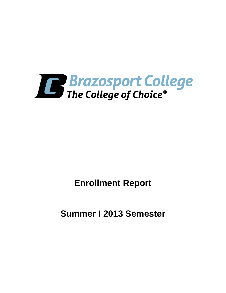

**Enrollment Report**

**Summer I 2013 Semester**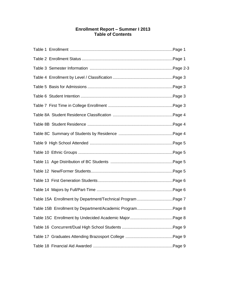# **Enrollment Report – Summer I 2013 Table of Contents**

| Table 15B Enrollment by Department/Academic ProgramPage 8 |  |
|-----------------------------------------------------------|--|
|                                                           |  |
|                                                           |  |
|                                                           |  |
|                                                           |  |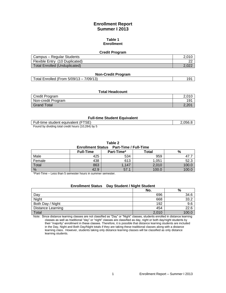# **Enrollment Report Summer I 2013**

#### **Table 1 Enrollment**

#### **Credit Program**

| Campus – Regular Students            |       |
|--------------------------------------|-------|
| Flexible Entry (10 Duplicated)       | nr    |
| <b>Total Enrolled (Unduplicated)</b> | 2.022 |

#### **Non-Credit Program**

Total Enrolled (From 5/09/13 – 7/09/13) 191

#### **Total Headcount**

| Credit Program     | 2.010          |
|--------------------|----------------|
| Non-credit Program | 191            |
| Grand Total        | ∍∩מ פ<br>C.ZU. |

#### **Full-time Student Equivalent**

Full-time student equivalent (FTSE) 2,056.8 Found by dividing total credit hours (10,284) by 5

**Table 2**

#### **Enrollment Status Part-Time / Full-Time**

| ------------------ |                  |            |       |       |
|--------------------|------------------|------------|-------|-------|
|                    | <b>Full-Time</b> | Part-Time* | Total | %     |
| Male               | 425              | 534        | 959   |       |
| Female             | 438              | 613        | 1,051 | 52.3  |
| Total              | 863              | ,147       | 2,010 | 100.0 |
| $\frac{0}{0}$      | 42.9             | 57.1       | 100.0 | 100.0 |

\*Part-Time – Less than 5 semester hours in summer semester.

# **Enrollment Status Day Student / Night Student**

|                          | No.   | %    |
|--------------------------|-------|------|
| Day                      | 696   | 34.6 |
| Night                    | 668   | 33.2 |
| Both Day / Night         | 192   | 9.6  |
| <b>Distance Learning</b> | 454   | 22.6 |
| Total                    | 2,010 | 100. |

Note: Since distance learning classes are not classified as "Day" or "Night" classes, students enrolled in distance learning classes as well as traditional "day" or "night" classes are classified as day, night or both day/night students by their "majority" enrollment in these classes. Therefore, it is possible that distance learning students are included in the Day, Night and Both Day/Night totals if they are taking these traditional classes along with a distance learning class. However, students taking only distance learning classes will be classified as only distance learning students.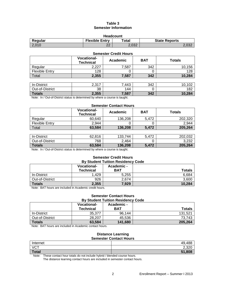## **Table 3 Semester Information**

| <b>Headcount</b>                                                        |         |       |                |  |
|-------------------------------------------------------------------------|---------|-------|----------------|--|
| <b>Flexible Entry</b><br>$\tau$ otal<br><b>State Reports</b><br>Regular |         |       |                |  |
| 2.010                                                                   | מה<br>ے | 2.032 | ימה מ<br>Z.UJZ |  |

| <b>Semester Credit Hours</b> |                                        |          |            |               |
|------------------------------|----------------------------------------|----------|------------|---------------|
|                              | <b>Vocational-</b><br><b>Technical</b> | Academic | <b>BAT</b> | <b>Totals</b> |
| Regular                      | 2,227                                  | 7,587    | 342        | 10,156        |
| <b>Flexible Entry</b>        | 128                                    |          |            | 128           |
| Total                        | 2,355                                  | 7,587    | 342        | 10,284        |
|                              |                                        |          |            |               |
| In-District                  | 2,317                                  | 7,443    | 342        | 10,102        |
| Out-of-District              | 38                                     | 144      |            | 182           |
| Totals                       | 2,355                                  | 7,587    | 342        | 10,284        |

1 **OTALS** 1 **Note:** In / Out-of-District status is determined by where a course is taught.

#### **Semester Contact Hours**

|                       | <b>Vocational-</b><br><b>Technical</b> | Academic | BAT   | Totals  |
|-----------------------|----------------------------------------|----------|-------|---------|
| Regular               | 60,640                                 | 136,208  | 5.472 | 202,320 |
| <b>Flexible Entry</b> | 2.944                                  |          |       | 2.944   |
| Total                 | 63.584                                 | 136,208  | 5.472 | 205,264 |

| In-District     | 62,816 | 122.<br>744<br>ٻ | .472  | 202.032 |
|-----------------|--------|------------------|-------|---------|
| Out-of-District | 768    | 2,464            |       | 3,232   |
| <b>Totals</b>   | 63,584 | 136,208          | 5.472 | 205,264 |

Note: In / Out-of-District status is determined by where a course is taught.

# **Semester Credit Hours**

| <b>By Student Tuition Residency Code</b> |                                        |                   |               |
|------------------------------------------|----------------------------------------|-------------------|---------------|
|                                          | <b>Vocational-</b><br><b>Technical</b> | Academic -<br>BAT | <b>Totals</b> |
| In-District                              | 1.429                                  | 5.255             | 6,684         |
| Out-of-District                          | 926                                    | 2.674             | 3.600         |
| <b>Totals</b>                            | 2,355                                  | 7.929             | 10,284        |

Note: BAT hours are included in Academic credit hours.

#### **Semester Contact Hours By Student Tuition Residency Code**

|                 | <b>Vocational-</b><br><b>Technical</b> | Academic -<br>BAT | <b>Totals</b> |
|-----------------|----------------------------------------|-------------------|---------------|
| In-District     | 35.377                                 | 96.144            | 131.521       |
| Out-of-District | 28.207                                 | 45,536            | 73,743        |
| <b>Totals</b>   | 63.584                                 | 141.680           | 205,264       |

Note: BAT hours are included in Academic contact hours.

#### **Distance Learning Semester Contact Hours**

| ___________________ |                |  |
|---------------------|----------------|--|
| Internet            | 49,488         |  |
| <b>VCT</b>          | റ റററ<br>z.jzu |  |
| <b>Total</b>        | 51,808         |  |

Note: These contact hour totals do not include hybrid / blended course hours.

The distance learning contact hours are included in semester contact hours.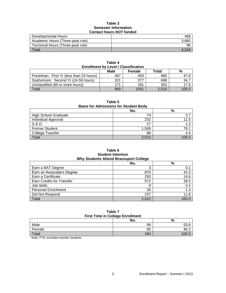#### **Table 3 Semester Information Contact hours** *NOT* **funded**

| Developmental Hours               | 468   |
|-----------------------------------|-------|
| Academic Hours (Three-peat rule)  | 3.680 |
| Technical Hours (Three-peat rule) | 96    |
| Total                             | 4 244 |

| <b>Enrollment by Level / Classification</b> |      |        |       |       |  |  |
|---------------------------------------------|------|--------|-------|-------|--|--|
|                                             | Male | Female | Total | %     |  |  |
| Freshman: First Yr (less than 24 hours)     | 467  | 493    | 960   | 47.8  |  |  |
| Sophomore: Second Yr (24-59 hours)          | 321  | 377    | 698   | 34.7  |  |  |
| Unclassified (60 or more hours)             | 171  | 181    | 352   | 17.5  |  |  |
| <b>Total</b>                                | 959  | 1051   | 2,010 | 100.0 |  |  |

**Table 4**

## **Table 5**

## **Basis for Admissions for Student Body**

|                             | No.   | %    |
|-----------------------------|-------|------|
| <b>High School Graduate</b> | 74    |      |
| Individual Approval         | 232   |      |
| G.E.D.                      | 27    | 1.3  |
| <b>Former Student</b>       | 1,589 | 79.1 |
| College Transfer            | 88    | 4.4  |
| Total                       | 2,010 |      |

#### **Table 6 Student Intention Why Students Attend Brazosport College**

| ◡     |       |
|-------|-------|
| No.   | %     |
| ◠     | 0.1   |
| 870   | 43.3  |
| 293   | 14.6  |
| 572   | 28.5  |
| 9     | 0.4   |
| 26    | 1.3   |
| 237   | 11.8  |
| 2.010 | 100.0 |
|       |       |

#### **Table 7 First Time in College Enrollment**

| <b>THOL THIS IN OURGE ENTUINGER</b> |     |      |  |  |
|-------------------------------------|-----|------|--|--|
|                                     | No. | %    |  |  |
| Male                                | 99  |      |  |  |
| Female                              | 85  | 46.2 |  |  |
| Total                               | 184 |      |  |  |

Note: FTIC excludes transfer students.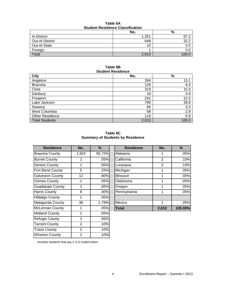| <b>Student Residence Classification</b> |       |       |  |  |
|-----------------------------------------|-------|-------|--|--|
|                                         | No.   | %     |  |  |
| In-District                             | 1,351 | 67.2  |  |  |
| Out-of-District                         | 648   | 32.2  |  |  |
| Out-of-State                            | 10    | 0.5   |  |  |
| Foreign                                 |       | 0.G   |  |  |
| Total                                   | 2,010 | 1ሰሰ በ |  |  |

## **Table 8A Student Residence Classification**

## **Table 8B Student Residence**

| <b>City</b>            | No.   | $\%$  |
|------------------------|-------|-------|
| Angleton               | 264   | 13.1  |
| <b>Brazoria</b>        | 126   | 6.3   |
| Clute                  | 319   | 15.9  |
| Danbury                | 18    | 0.9   |
| Freeport               | 241   | 12.0  |
| Lake Jackson           | 799   | 39.8  |
| Sweeny                 | 66    | 3.3   |
| West Columbia          | 58    | 2.9   |
| <b>Other Residence</b> | 119   | 5.9   |
| <b>Total Students</b>  | 2,010 | 100.0 |

**Table 8C Summary of Students by Residence**

| <b>Residence</b>        | No.            | $\%$   | <b>Residence</b> | No.            | %       |
|-------------------------|----------------|--------|------------------|----------------|---------|
| <b>Brazoria County</b>  | 1,924          | 95.72% | Alabama          | 1              | .05%    |
| <b>Burnet County</b>    |                | .05%   | California       | $\overline{2}$ | .10%    |
| Denton County           | 1              | .05%   | Louisiana        | $\overline{2}$ | .10%    |
| Fort Bend County        | 5              | .25%   | Michigan         | 1              | .05%    |
| <b>Galveston County</b> | 12             | .60%   | Missouri         | 1              | .05%    |
| <b>Grimes County</b>    | 1              | .05%   | Oklahoma         | 1              | .05%    |
| <b>Guadalupe County</b> | 1              | .05%   | Oregon           | 1              | .05%    |
| <b>Harris County</b>    | 8              | .40%   | Pennsylvania     | 1              | .05%    |
| <b>Hildalgo County</b>  | 1              | .05%   |                  |                |         |
| Matagorda County        | 36             | 1.79%  | Mexico           | 1              | .05%    |
| <b>McLennan County</b>  | 1              | .05%   | <b>Total</b>     | 2,010          | 100.00% |
| <b>Midland County</b>   | 1              | .05%   |                  |                |         |
| Refugio County          | 1              | .05%   |                  |                |         |
| <b>Tarrant County</b>   | $\overline{2}$ | .10%   |                  |                |         |
| <b>Travis County</b>    | $\overline{2}$ | .10%   |                  |                |         |
| <b>Wharton County</b>   | $\overline{2}$ | .10%   |                  |                |         |

| <b>Residence</b>   | No.   | %      | <b>Residence</b> | No.            | %       |
|--------------------|-------|--------|------------------|----------------|---------|
| ria County         | 1,924 | 95.72% | Alabama          |                | .05%    |
| t County           |       | .05%   | California       | 2              | .10%    |
| n County           |       | .05%   | Louisiana        | $\overline{2}$ | .10%    |
| <b>Bend County</b> | 5     | .25%   | Michigan         |                | .05%    |
| ston County        | 12    | .60%   | Missouri         |                | .05%    |
| es County          |       | .05%   | Oklahoma         |                | .05%    |
| alupe County       |       | .05%   | Oregon           |                | .05%    |
| Gounty             | 8     | .40%   | Pennsylvania     |                | .05%    |
| go County          |       | .05%   |                  |                |         |
| gorda County       | 36    | 1.79%  | Mexico           | 1              | .05%    |
| nnan County        | 1     | .05%   | <b>Total</b>     | 2,010          | 100.00% |

Includes students that pay C & D coded tuition.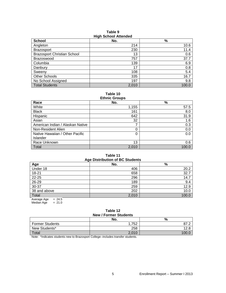| <b>HIGHL</b> OCHOOL ALLOHUGU       |       |       |  |  |
|------------------------------------|-------|-------|--|--|
| <b>School</b>                      | No.   | $\%$  |  |  |
| Angleton                           | 214   | 10.6  |  |  |
| <b>Brazosport</b>                  | 230   | 11.4  |  |  |
| <b>Brazosport Christian School</b> | 13    | 0.6   |  |  |
| <b>Brazoswood</b>                  | 757   | 37.7  |  |  |
| Columbia                           | 139   | 6.9   |  |  |
| Danbury                            | 17    | 0.8   |  |  |
| Sweeny                             | 108   | 5.4   |  |  |
| <b>Other Schools</b>               | 335   | 16.7  |  |  |
| No School Assigned                 | 197   | 9.8   |  |  |
| <b>Total Students</b>              | 2,010 | 100.0 |  |  |

**Table 9 High School Attended**

**Table 10**

| <b>Ethnic Groups</b>             |       |       |  |  |
|----------------------------------|-------|-------|--|--|
| Race                             | No.   | $\%$  |  |  |
| White                            | 1,155 | 57.5  |  |  |
| <b>Black</b>                     | 161   | 8.0   |  |  |
| Hispanic                         | 642   | 31.9  |  |  |
| Asian                            | 32    | 1.6   |  |  |
| American Indian / Alaskan Native |       | 0.3   |  |  |
| Non-Resident Alien               | 0     | 0.0   |  |  |
| Native Hawaiian / Other Pacific  | 0     | 0.0   |  |  |
| Islander                         |       |       |  |  |
| Race Unknown                     | 13    | 0.6   |  |  |
| Total                            | 2.010 | 100.0 |  |  |

## **Table 11 Age Distribution of BC Students**

|                         | $1.9$ - $-1.0$ $-1.0$ and $-1.0$ $-1.0$ $-1.0$ |       |
|-------------------------|------------------------------------------------|-------|
| Age                     | No.                                            | $\%$  |
| Under 18                | 406                                            | 20.2  |
| $18 - 21$               | 658                                            | 32.7  |
| 22-25                   | 296                                            | 14.7  |
| 26-29                   | 189                                            | 9.4   |
| 30-37                   | 259                                            | 12.9  |
| 38 and above            | 202                                            | 10.0  |
| Total                   | 2,010                                          | 100.0 |
| $= 24.5$<br>Average Age |                                                |       |

Median Age  $= 21.0$ 

#### **Table 12 New / Former Students**

| <b>INGM / I QUILICI QUUCHUS</b> |      |
|---------------------------------|------|
| No.                             | %    |
| 752                             |      |
| 258                             |      |
| 2,010                           |      |
|                                 | $ -$ |

Note: \*Indicates students new to Brazosport College--includes transfer students.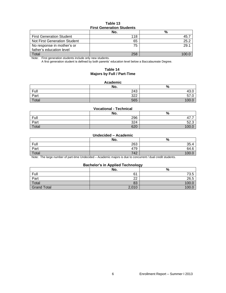#### **Table 13 First Generation Students**

|                                 | .  99 9 |      |
|---------------------------------|---------|------|
|                                 | No.     | %    |
| <b>First Generation Student</b> | 118     | 45.  |
| Not First Generation Student    | 65      | 25.2 |
| No response in mother's or      | 75      | 29.1 |
| father's education level        |         |      |
| Total                           | 258     |      |

Note: First generation students include only new students.

A first generation student is defined by both parents' education level below a Baccalaureate Degree.

#### **Table 14 Majors by Full / Part-Time**

#### **Academic**

|       | No. | %                            |
|-------|-----|------------------------------|
| Full  | 243 | $\sqrt{2}$<br>$\sim$<br>43.U |
| Part  | 322 | $-1$<br>07.U                 |
| Total | 565 | 100.                         |

#### **Vocational - Technical**

|       | No. | %           |
|-------|-----|-------------|
| Full  | 296 | -<br>.      |
| Part  | 324 | ro.<br>ວ∠.ວ |
| Total | 620 | 100.L       |

#### **Undecided – Academic**

|       | No. | %                  |
|-------|-----|--------------------|
| Full  | 263 | 35.4               |
| Part  | 479 | 64.6<br>$\epsilon$ |
| Total | 742 | 100                |

Note: The large number of part-time Undecided – Academic majors is due to concurrent / dual credit students.

#### **Bachelor's in Applied Technology**

|                    | No.   | --<br>$\Omega$<br>70 |
|--------------------|-------|----------------------|
| Full               | 61    | 73.5                 |
| Part               | ົດ    | 26.5                 |
| Total              | 83    | 100.C                |
| <b>Grand Total</b> | 2,010 | 100.0                |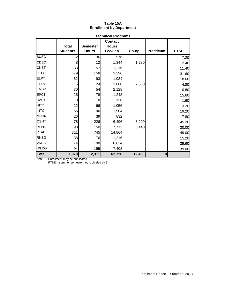# **Table 15A Enrollment by Department**

|              |                                 |                                 | <b>Technical Programs</b>                 |        |                  |             |
|--------------|---------------------------------|---------------------------------|-------------------------------------------|--------|------------------|-------------|
|              | <b>Total</b><br><b>Students</b> | <b>Semester</b><br><b>Hours</b> | <b>Contact</b><br><b>Hours</b><br>Lec/Lab | Co-op  | <b>Practicum</b> | <b>FTSE</b> |
|              |                                 |                                 |                                           |        |                  |             |
| <b>BUSG</b>  | 12                              | 36                              | 576                                       |        |                  | 7.20        |
| <b>CDEC</b>  | 8 <sup>1</sup>                  | 12                              | 1,344                                     | 1,280  |                  | 2.40        |
| <b>CNBT</b>  | 38                              | 57                              | 1,216                                     |        |                  | 11.40       |
| <b>CTEC</b>  | 79                              | 158                             | 3,296                                     |        |                  | 31.60       |
| <b>ELPT</b>  | 62                              | 93                              | 1,984                                     |        |                  | 18.60       |
| <b>ELTN</b>  | 16                              | 24                              | 2,688                                     | 2,560  |                  | 4.80        |
| <b>EMSP</b>  | 30 <sup>°</sup>                 | 54                              | 2,128                                     |        |                  | 10.80       |
| <b>EPCT</b>  | 26                              | 78                              | 1,248                                     |        |                  | 15.60       |
| <b>HART</b>  | 8 <sup>1</sup>                  | 8                               | 128                                       |        |                  | 1.60        |
| <b>HITT</b>  | 22                              | 66                              | 1,056                                     |        |                  | 13.20       |
| <b>INTC</b>  | 55                              | 96                              | 1,904                                     |        |                  | 19.20       |
| <b>MCHN</b>  | 26                              | 39                              | 832                                       |        |                  | 7.80        |
| <b>OSHT</b>  | 78                              | 226                             | 6,496                                     | 3,200  |                  | 45.20       |
| <b>PFPB</b>  | 93                              | 150                             | 7,712                                     | 5,440  |                  | 30.00       |
| <b>PTAC</b>  | 311                             | 745                             | 14,864                                    |        |                  | 149.00      |
| <b>RNSG</b>  | 38                              | 76                              | 1,216                                     |        |                  | 15.20       |
| <b>VNSG</b>  | 74                              | 198                             | 6,624                                     |        |                  | 39.60       |
| <b>WLDG</b>  | 94                              | 195                             | 7,408                                     |        |                  | 39.00       |
| <b>Total</b> | 1,070                           | 2,311                           | 62,720                                    | 12,480 | $\mathbf{0}$     |             |

Note: Enrollment may be duplicated.

FTSE = summer semester hours divided by 5.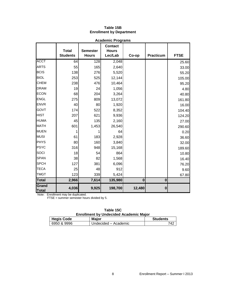|                       |                                 |                                 | <b>Academic Programs</b>                  |          |           |                |
|-----------------------|---------------------------------|---------------------------------|-------------------------------------------|----------|-----------|----------------|
|                       | <b>Total</b><br><b>Students</b> | <b>Semester</b><br><b>Hours</b> | <b>Contact</b><br><b>Hours</b><br>Lec/Lab | Co-op    | Practicum | <b>FTSE</b>    |
| <b>ACCT</b>           | 64                              | 128                             | 2,048                                     |          |           |                |
| <b>ARTS</b>           | 55                              | 165                             | 2,640                                     |          |           | 25.60<br>33.00 |
| <b>BCIS</b>           | 138                             | 276                             | 5,520                                     |          |           | 55.20          |
| <b>BIOL</b>           | 253                             | 525                             | 12,144                                    |          |           | 105.00         |
| <b>CHEM</b>           | 238                             | 476                             | 10,464                                    |          |           | 95.20          |
| <b>DRAM</b>           | 19                              | 24                              | 1,056                                     |          |           | 4.80           |
| <b>ECON</b>           | 68                              | 204                             | 3,264                                     |          |           | 40.80          |
| <b>ENGL</b>           | 275                             | 809                             | 13,072                                    |          |           | 161.80         |
| <b>ENVR</b>           | 40                              | 80                              | 1,920                                     |          |           | 16.00          |
| GOVT                  | 174                             | 522                             | 8,352                                     |          |           | 104.40         |
| <b>HIST</b>           | 207                             | 621                             | 9,936                                     |          |           | 124.20         |
| <b>HUMA</b>           | 45                              | 135                             | 2,160                                     |          |           | 27.00          |
| <b>MATH</b>           | 601                             | 1,453                           | 26,540                                    |          |           | 290.60         |
| <b>MUEN</b>           |                                 |                                 | 64                                        |          |           | 0.20           |
| <b>MUSI</b>           | 61                              | 183                             | 2,928                                     |          |           | 36.60          |
| <b>PHYS</b>           | 80                              | 160                             | 3,840                                     |          |           | 32.00          |
| <b>PSYC</b>           | 316                             | 948                             | 15,168                                    |          |           | 189.60         |
| SOCI                  | 18                              | 54                              | 864                                       |          |           | 10.80          |
| <b>SPAN</b>           | 38                              | 82                              | 1,568                                     |          |           | 16.40          |
| <b>SPCH</b>           | 127                             | 381                             | 6,096                                     |          |           | 76.20          |
| <b>TECA</b>           | 25                              | 48                              | 912                                       |          |           | 9.60           |
| <b>TMGT</b>           | 123                             | 339                             | 5,424                                     |          |           | 67.80          |
| <b>Total</b>          | 2,966                           | 7,614                           | 135,980                                   | $\bf{0}$ | $\bf{0}$  |                |
| Grand<br><b>Total</b> | 4,036                           | 9,925                           | 198,700                                   | 12,480   | $\bf{0}$  |                |

## **Table 15B Enrollment by Department**

Note: Enrollment may be duplicated.

FTSE = summer semester hours divided by 5.

| Table 15C                                     |
|-----------------------------------------------|
| <b>Enrollment by Undecided Academic Major</b> |

| <b>Hegis Code</b> | <b>Maior</b>           | <b>Students</b> |
|-------------------|------------------------|-----------------|
| 6950 & 9996       | □ Undecided – Academic | 742             |